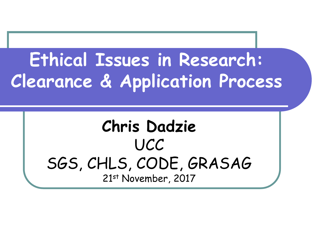### **Ethical Issues in Research: Clearance & Application Process**

#### **Chris Dadzie** UCC SGS, CHLS, CODE, GRASAG 21st November, 2017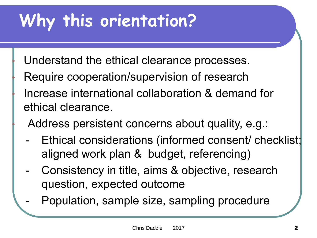### **Why this orientation?**

Understand the ethical clearance processes.

Require cooperation/supervision of research • Increase international collaboration & demand for ethical clearance.

Address persistent concerns about quality, e.g.:

- Ethical considerations (informed consent/ checklist; aligned work plan & budget, referencing)
- Consistency in title, aims & objective, research question, expected outcome
- Population, sample size, sampling procedure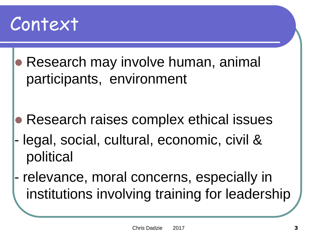

 Research may involve human, animal participants, environment

- **Research raises complex ethical issues**
- legal, social, cultural, economic, civil & political
- relevance, moral concerns, especially in institutions involving training for leadership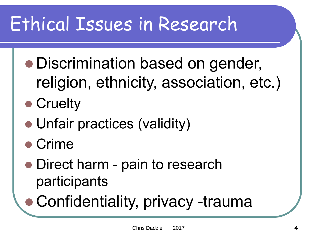## Ethical Issues in Research

- Discrimination based on gender, religion, ethnicity, association, etc.)
- Cruelty
- Unfair practices (validity)
- Crime
- Direct harm pain to research participants
- Confidentiality, privacy -trauma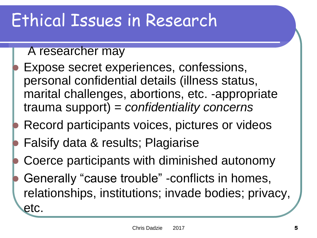#### Ethical Issues in Research

#### A researcher may

- Expose secret experiences, confessions, personal confidential details (illness status, marital challenges, abortions, etc. -appropriate trauma support) = *confidentiality concerns*
- Record participants voices, pictures or videos
- Falsify data & results; Plagiarise
- Coerce participants with diminished autonomy
- Generally "cause trouble" -conflicts in homes, relationships, institutions; invade bodies; privacy, etc.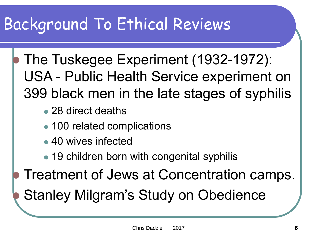#### Background To Ethical Reviews

- The Tuskegee Experiment (1932-1972): USA - Public Health Service experiment on 399 black men in the late stages of syphilis
	- 28 direct deaths
	- 100 related complications
	- 40 wives infected
	- 19 children born with congenital syphilis
	- Treatment of Jews at Concentration camps.

Stanley Milgram's Study on Obedience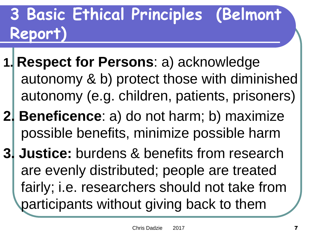#### **3 Basic Ethical Principles (Belmont Report)**

- **1. Respect for Persons**: a) acknowledge autonomy & b) protect those with diminished autonomy (e.g. children, patients, prisoners)
- **2. Beneficence**: a) do not harm; b) maximize possible benefits, minimize possible harm
- **3. Justice:** burdens & benefits from research are evenly distributed; people are treated fairly; i.e. researchers should not take from participants without giving back to them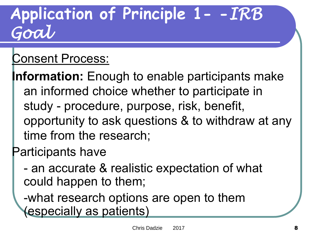#### **Application of Principle 1- -***IRB Goal*

#### Consent Process:

**Information:** Enough to enable participants make an informed choice whether to participate in study - procedure, purpose, risk, benefit, opportunity to ask questions & to withdraw at any time from the research;

#### Participants have

- an accurate & realistic expectation of what could happen to them;

-what research options are open to them (especially as patients)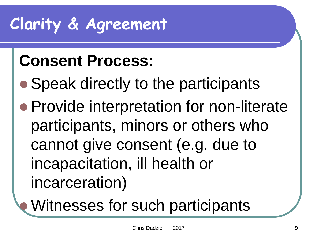### **Clarity & Agreement**

#### **Consent Process:**

- Speak directly to the participants
- Provide interpretation for non-literate participants, minors or others who cannot give consent (e.g. due to incapacitation, ill health or incarceration)

### Witnesses for such participants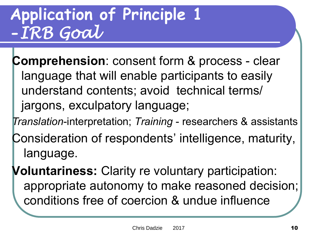#### **Application of Principle 1 -***IRB Goal*

**Comprehension**: consent form & process - clear language that will enable participants to easily understand contents; avoid technical terms/ jargons, exculpatory language;

*Translation*-interpretation; *Training* - researchers & assistants

Consideration of respondents' intelligence, maturity, language.

**Voluntariness:** Clarity re voluntary participation: appropriate autonomy to make reasoned decision; conditions free of coercion & undue influence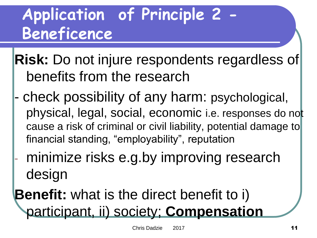#### **Application of Principle 2 - Beneficence**

**Risk:** Do not injure respondents regardless of benefits from the research

- check possibility of any harm: psychological, physical, legal, social, economic i.e. responses do not cause a risk of criminal or civil liability, potential damage to financial standing, "employability", reputation
- minimize risks e.g.by improving research design

**Benefit:** what is the direct benefit to i) participant, ii) society; **Compensation**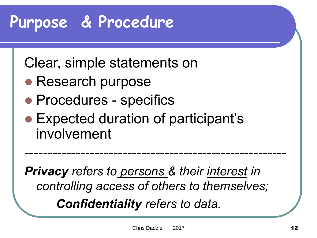#### **Purpose & Procedure**

Clear, simple statements on

- Research purpose
- Procedures specifics
- Expected duration of participant's involvement

*Privacy refers to persons & their interest in controlling access of others to themselves; Confidentiality refers to data.*

--------------------------------------------------------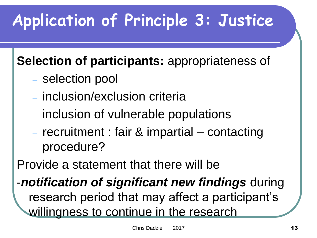### **Application of Principle 3: Justice**

#### **Selection of participants:** appropriateness of

- selection pool
- inclusion/exclusion criteria
- inclusion of vulnerable populations
- recruitment : fair & impartial contacting procedure?

Provide a statement that there will be

-*notification of significant new findings* during research period that may affect a participant's willingness to continue in the research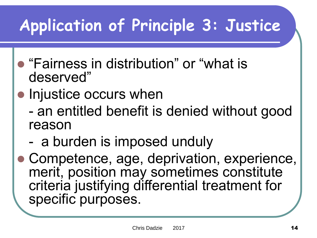### **Application of Principle 3: Justice**

- "Fairness in distribution" or "what is deserved"
- Injustice occurs when
	- an entitled benefit is denied without good reason
	- a burden is imposed unduly
- Competence, age, deprivation, experience, merit, position may sometimes constitute criteria justifying differential treatment for specific purposes.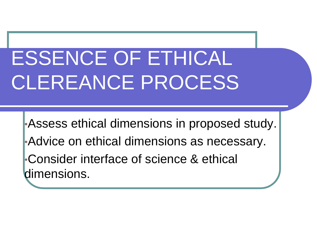## ESSENCE OF ETHICAL CLEREANCE PROCESS

•Assess ethical dimensions in proposed study. •Advice on ethical dimensions as necessary. •Consider interface of science & ethical dimensions.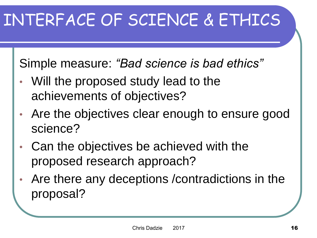### INTERFACE OF SCIENCE & ETHICS

Simple measure: *"Bad science is bad ethics"*

- Will the proposed study lead to the achievements of objectives?
- Are the objectives clear enough to ensure good science?
- Can the objectives be achieved with the proposed research approach?
- Are there any deceptions /contradictions in the proposal?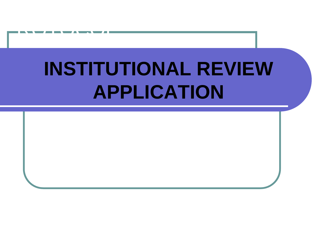## **INSTITUTIONAL REVIEW APPLICATION**

PROGRAM A

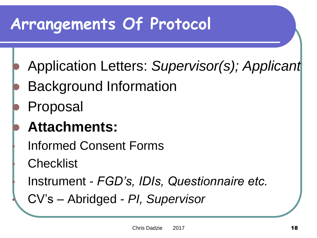#### **Arrangements Of Protocol**

- Application Letters: *Supervisor(s); Applicant*
- Background Information
- Proposal

#### **Attachments:**

• Informed Consent Forms

**Checklist** 

• Instrument - *FGD's, IDIs, Questionnaire etc.*

• CV's – Abridged - *PI, Supervisor*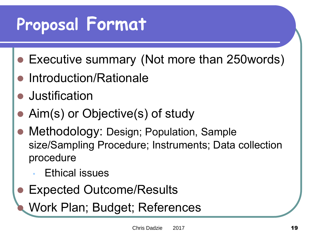### **Proposal Format**

- Executive summary (Not more than 250words)
- Introduction/Rationale
- **•** Justification
- Aim(s) or Objective(s) of study
- Methodology: Design; Population, Sample size/Sampling Procedure; Instruments; Data collection procedure
	- **Ethical issues**
- Expected Outcome/Results
	- Work Plan; Budget; References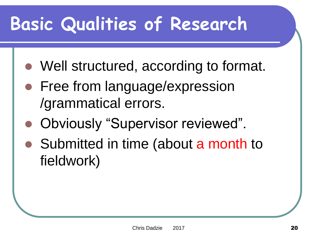### **Basic Qualities of Research**

- Well structured, according to format.
- Free from language/expression /grammatical errors.
- Obviously "Supervisor reviewed".
- Submitted in time (about a month to fieldwork)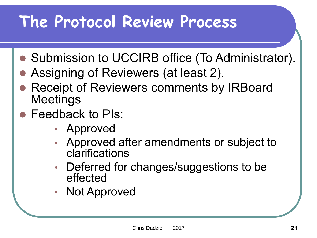#### **The Protocol Review Process**

- Submission to UCCIRB office (To Administrator).
- Assigning of Reviewers (at least 2).
- Receipt of Reviewers comments by IRBoard Meetings
- Feedback to PIs:
	- Approved
	- Approved after amendments or subject to clarifications
	- Deferred for changes/suggestions to be effected
	- Not Approved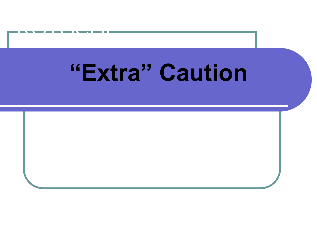## **"Extra" Caution**

PROGRAM A

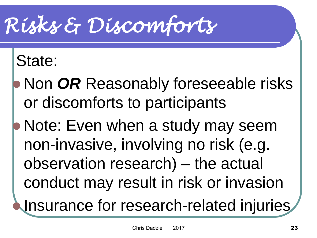## *Risks & Discomforts*

#### State:

- Non *OR* Reasonably foreseeable risks or discomforts to participants
- Note: Even when a study may seem non-invasive, involving no risk (e.g. observation research) – the actual conduct may result in risk or invasion
	- Insurance for research-related injuries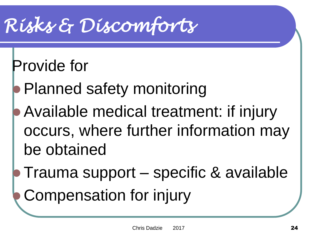## *Risks & Discomforts*

#### Provide for

- Planned safety monitoring
- Available medical treatment: if injury occurs, where further information may be obtained
- Trauma support specific & available

Compensation for injury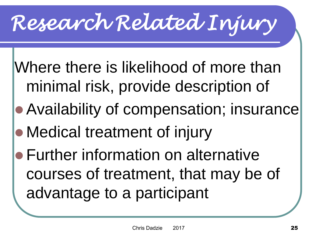# *Research Related Injury*

Where there is likelihood of more than minimal risk, provide description of

- Availability of compensation; insurance
- Medical treatment of injury
- Further information on alternative courses of treatment, that may be of advantage to a participant